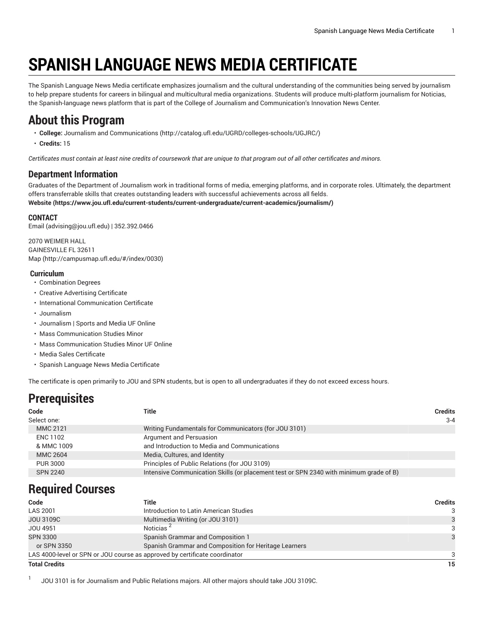# **SPANISH LANGUAGE NEWS MEDIA CERTIFICATE**

The Spanish Language News Media certificate emphasizes journalism and the cultural understanding of the communities being served by journalism to help prepare students for careers in bilingual and multicultural media organizations. Students will produce multi-platform journalism for Noticias, the Spanish-language news platform that is part of the College of Journalism and Communication's Innovation News Center.

### **About this Program**

- **College:** [Journalism and Communications](http://catalog.ufl.edu/UGRD/colleges-schools/UGJRC/) ([http://catalog.ufl.edu/UGRD/colleges-schools/UGJRC/\)](http://catalog.ufl.edu/UGRD/colleges-schools/UGJRC/)
- **Credits:** 15

Certificates must contain at least nine credits of coursework that are unique to that program out of all other certificates and minors.

### **Department Information**

Graduates of the Department of Journalism work in traditional forms of media, emerging platforms, and in corporate roles. Ultimately, the department offers transferrable skills that creates outstanding leaders with successful achievements across all fields. **[Website](https://www.jou.ufl.edu/current-students/current-undergraduate/current-academics/journalism/) (<https://www.jou.ufl.edu/current-students/current-undergraduate/current-academics/journalism/>)**

#### **CONTACT**

[Email](mailto:advising@jou.ufl.edu) (<advising@jou.ufl.edu>) | 352.392.0466

2070 WEIMER HALL GAINESVILLE FL 32611 [Map](http://campusmap.ufl.edu/#/index/0030) ([http://campusmap.ufl.edu/#/index/0030\)](http://campusmap.ufl.edu/#/index/0030)

#### **Curriculum**

- Combination Degrees
- Creative Advertising Certificate
- International Communication Certificate
- Journalism
- Journalism | Sports and Media UF Online
- Mass Communication Studies Minor
- Mass Communication Studies Minor UF Online
- Media Sales Certificate
- Spanish Language News Media Certificate

The certificate is open primarily to JOU and SPN students, but is open to all undergraduates if they do not exceed excess hours.

## **Prerequisites**

| Code            | Title                                                                                  | <b>Credits</b> |
|-----------------|----------------------------------------------------------------------------------------|----------------|
| Select one:     |                                                                                        | $3 - 4$        |
| MMC 2121        | Writing Fundamentals for Communicators (for JOU 3101)                                  |                |
| <b>ENC 1102</b> | Argument and Persuasion                                                                |                |
| & MMC 1009      | and Introduction to Media and Communications                                           |                |
| <b>MMC 2604</b> | Media, Cultures, and Identity                                                          |                |
| <b>PUR 3000</b> | Principles of Public Relations (for JOU 3109)                                          |                |
| <b>SPN 2240</b> | Intensive Communication Skills (or placement test or SPN 2340 with minimum grade of B) |                |
|                 |                                                                                        |                |

### **Required Courses**

| Code                                                                       | Title                                                 | <b>Credits</b> |
|----------------------------------------------------------------------------|-------------------------------------------------------|----------------|
| <b>LAS 2001</b>                                                            | Introduction to Latin American Studies                | 3              |
| JOU 3109C                                                                  | Multimedia Writing (or JOU 3101)                      |                |
| JOU 4951                                                                   | Noticias <sup>2</sup>                                 | 3              |
| <b>SPN 3300</b>                                                            | Spanish Grammar and Composition 1                     |                |
| or SPN 3350                                                                | Spanish Grammar and Composition for Heritage Learners |                |
| LAS 4000-level or SPN or JOU course as approved by certificate coordinator |                                                       |                |
| <b>Total Credits</b>                                                       | 15                                                    |                |

1 JOU 3101 is for Journalism and Public Relations majors. All other majors should take JOU 3109C.